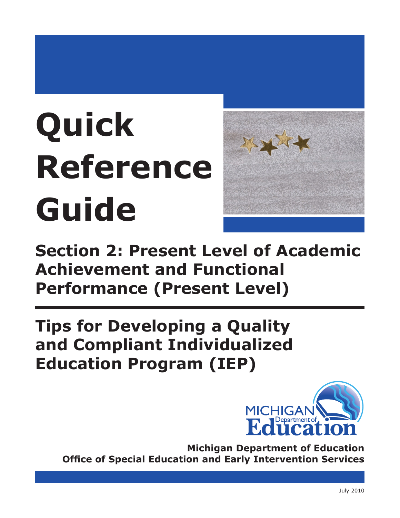# **Quick Reference Guide**



**Section 2: Present Level of Academic Achievement and Functional Performance (Present Level)**

**Tips for Developing a Quality and Compliant Individualized Education Program (IEP)**



**Michigan Department of Education Office of Special Education and Early Intervention Services**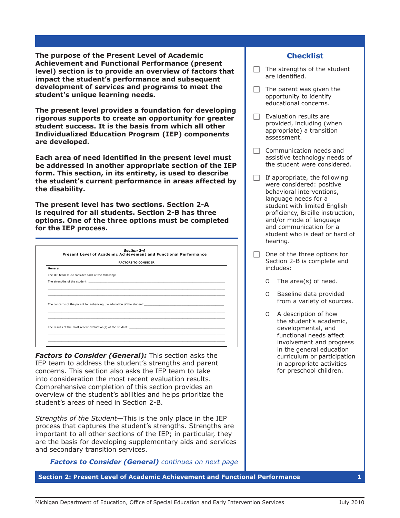**The purpose of the Present Level of Academic Achievement and Functional Performance (present level) section is to provide an overview of factors that impact the student's performance and subsequent development of services and programs to meet the student's unique learning needs.**

**The present level provides a foundation for developing rigorous supports to create an opportunity for greater student success. It is the basis from which all other Individualized Education Program (IEP) components are developed.**

**Each area of need identified in the present level must be addressed in another appropriate section of the IEP form. This section, in its entirety, is used to describe the student's current performance in areas affected by the disability.**

**The present level has two sections. Section 2-A is required for all students. Section 2-B has three options. One of the three options must be completed for the IEP process.**

| <b>FACTORS TO CONSIDER</b> |                                                                                                            |  |
|----------------------------|------------------------------------------------------------------------------------------------------------|--|
| General                    |                                                                                                            |  |
|                            | The IEP team must consider each of the following:                                                          |  |
|                            | The strengths of the student: The student of the strength of the strength of the strengths of the student: |  |
|                            | ,我们也不能在这里的时候,我们也不能在这里的时候,我们也不能会在这里的时候,我们也不能会在这里的时候,我们也不能会在这里的时候,我们也不能会在这里的时候,我们也不                          |  |
|                            |                                                                                                            |  |
|                            |                                                                                                            |  |
|                            | The concerns of the parent for enhancing the education of the student:                                     |  |
|                            |                                                                                                            |  |
|                            |                                                                                                            |  |
|                            |                                                                                                            |  |
|                            | The results of the most recent evaluation(s) of the student:                                               |  |

*Factors to Consider (General): This section asks the* IEP team to address the student's strengths and parent concerns. This section also asks the IEP team to take into consideration the most recent evaluation results. Comprehensive completion of this section provides an overview of the student's abilities and helps prioritize the student's areas of need in Section 2-B.

*Strengths of the Student―*This is the only place in the IEP process that captures the student's strengths. Strengths are important to all other sections of the IEP; in particular, they are the basis for developing supplementary aids and services and secondary transition services.

*Factors to Consider (General) continues on next page* 

**Section 2: Present Level of Academic Achievement and Functional Performance 1**

# **Checklist**

- $\Box$  The strengths of the student are identified.
- $\Box$  The parent was given the opportunity to identify educational concerns.
- $\Box$  Evaluation results are provided, including (when appropriate) a transition assessment.
- $\Box$  Communication needs and assistive technology needs of the student were considered.
- $\Box$  If appropriate, the following were considered: positive behavioral interventions, language needs for a student with limited English proficiency, Braille instruction, and/or mode of language and communication for a student who is deaf or hard of hearing.
- $\Box$  One of the three options for Section 2-B is complete and includes:
	- ɶ The area(s) of need.
	- ɶ Baseline data provided from a variety of sources.
	- ɶ A description of how the student's academic, developmental, and functional needs affect involvement and progress in the general education curriculum or participation in appropriate activities for preschool children.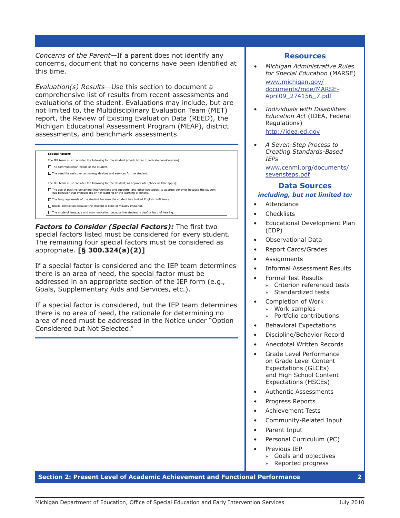*Concerns of the Parent―*If a parent does not identify any concerns, document that no concerns have been identified at this time.

*Evaluation(s) Results―*Use this section to document a comprehensive list of results from recent assessments and evaluations of the student. Evaluations may include, but are not limited to, the Multidisciplinary Evaluation Team (MET) report, the Review of Existing Evaluation Data (REED), the Michigan Educational Assessment Program (MEAP), district assessments, and benchmark assessments.

| <b>Special Factors</b>                                                                                                                                                                               |
|------------------------------------------------------------------------------------------------------------------------------------------------------------------------------------------------------|
| The IEP team must consider the following for the student (check boxes to indicate consideration):                                                                                                    |
| $\Box$ The communication needs of the student.                                                                                                                                                       |
| $\Box$ The need for assistive technology devices and services for the student.                                                                                                                       |
| The IEP team must consider the following for the student, as appropriate (check all that apply):                                                                                                     |
| The use of positive behavioral interventions and supports, and other strategies, to address behavior because the student<br>has behavior that impedes his or her learning or the learning of others. |
| $\Box$ The language needs of the student because the student has limited English proficiency.                                                                                                        |
| $\Box$ Braille instruction because the student is blind or visually impaired.                                                                                                                        |
| $\Box$ The mode of language and communication because the student is deaf or hard of hearing.                                                                                                        |

*Factors to Consider (Special Factors):* The first two special factors listed must be considered for every student. The remaining four special factors must be considered as appropriate. **[§ 300.324(a)(2)]**

If a special factor is considered and the IEP team determines there is an area of need, the special factor must be addressed in an appropriate section of the IEP form (e.g., Goals, Supplementary Aids and Services, etc.).

If a special factor is considered, but the IEP team determines there is no area of need, the rationale for determining no area of need must be addressed in the Notice under "Option Considered but Not Selected."

## **Resources**

*• Michigan Administrative Rules for Special Education* (MARSE)

[www.michigan.gov/](http://www.michigan.gov/documents/mde/MARSE-April09_274156_7.pdf) [documents/mde/MARSE-](http://www.michigan.gov/documents/mde/MARSE-April09_274156_7.pdf)[April09\\_274156\\_7.pd](http://www.michigan.gov/documents/mde/MARSE-April09_274156_7.pdf)f

- *• Individuals with Disabilities Education Act* (IDEA, Federal Regulations) [http://idea.ed.gov](http://idea.ed.gov/explore/view/p/%2Croot%2Cregs%2C)
- *• A Seven-Step Process to Creating Standards-Based IEPs*

[www.cenmi.org/documents/](www.cenmi.org/documents/sevensteps.pdf) [sevensteps.pd](www.cenmi.org/documents/sevensteps.pdf)f

# **Data Sources** *including, but not limited to:*

- **Attendance**
- **Checklists**
- Educational Development Plan (EDP)
- Observational Data
- Report Cards/Grades
- **Assignments**
- Informal Assessment Results
- Formal Test Results
	- » Criterion referenced tests » Standardized tests
- Completion of Work » Work samples
	- » Portfolio contributions
- Behavioral Expectations
- Discipline/Behavior Record
- Anecdotal Written Records
- Grade Level Performance on Grade Level Content Expectations (GLCEs) and High School Content Expectations (HSCEs)
- Authentic Assessments
- Progress Reports
- Achievement Tests
- Community-Related Input
- Parent Input
- Personal Curriculum (PC)
- Previous IEP
	- » Goals and objectives
	- » Reported progress

### **Section 2: Present Level of Academic Achievement and Functional Performance 2**